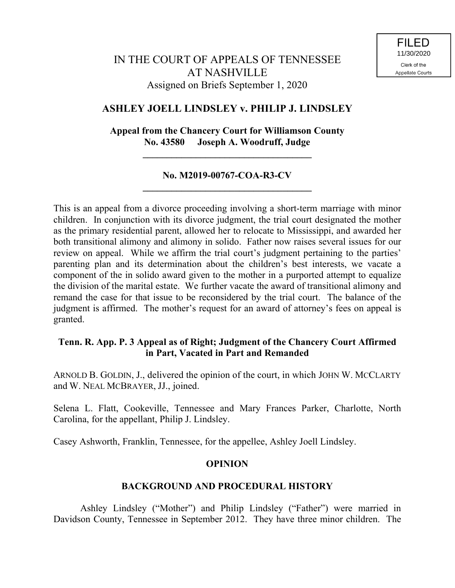# **ASHLEY JOELL LINDSLEY v. PHILIP J. LINDSLEY**

**Appeal from the Chancery Court for Williamson County No. 43580 Joseph A. Woodruff, Judge**

**\_\_\_\_\_\_\_\_\_\_\_\_\_\_\_\_\_\_\_\_\_\_\_\_\_\_\_\_\_\_\_\_\_\_\_**

# **No. M2019-00767-COA-R3-CV \_\_\_\_\_\_\_\_\_\_\_\_\_\_\_\_\_\_\_\_\_\_\_\_\_\_\_\_\_\_\_\_\_\_\_**

This is an appeal from a divorce proceeding involving a short-term marriage with minor children. In conjunction with its divorce judgment, the trial court designated the mother as the primary residential parent, allowed her to relocate to Mississippi, and awarded her both transitional alimony and alimony in solido. Father now raises several issues for our review on appeal. While we affirm the trial court's judgment pertaining to the parties' parenting plan and its determination about the children's best interests, we vacate a component of the in solido award given to the mother in a purported attempt to equalize the division of the marital estate. We further vacate the award of transitional alimony and remand the case for that issue to be reconsidered by the trial court. The balance of the judgment is affirmed. The mother's request for an award of attorney's fees on appeal is granted.

# **Tenn. R. App. P. 3 Appeal as of Right; Judgment of the Chancery Court Affirmed in Part, Vacated in Part and Remanded**

ARNOLD B. GOLDIN, J., delivered the opinion of the court, in which JOHN W. MCCLARTY and W. NEAL MCBRAYER, JJ., joined.

Selena L. Flatt, Cookeville, Tennessee and Mary Frances Parker, Charlotte, North Carolina, for the appellant, Philip J. Lindsley.

Casey Ashworth, Franklin, Tennessee, for the appellee, Ashley Joell Lindsley.

## **OPINION**

## **BACKGROUND AND PROCEDURAL HISTORY**

Ashley Lindsley ("Mother") and Philip Lindsley ("Father") were married in Davidson County, Tennessee in September 2012. They have three minor children. The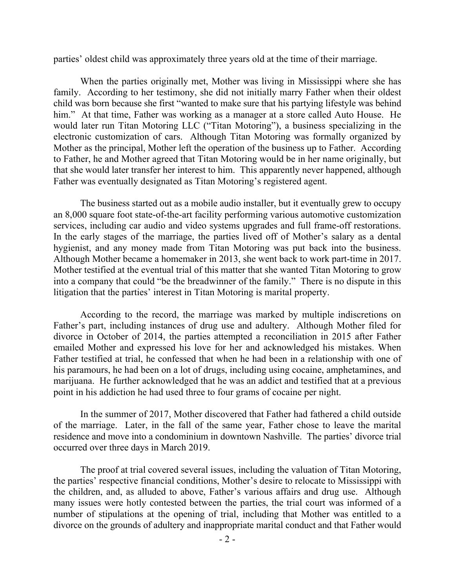parties' oldest child was approximately three years old at the time of their marriage.

When the parties originally met, Mother was living in Mississippi where she has family. According to her testimony, she did not initially marry Father when their oldest child was born because she first "wanted to make sure that his partying lifestyle was behind him." At that time, Father was working as a manager at a store called Auto House. He would later run Titan Motoring LLC ("Titan Motoring"), a business specializing in the electronic customization of cars. Although Titan Motoring was formally organized by Mother as the principal, Mother left the operation of the business up to Father. According to Father, he and Mother agreed that Titan Motoring would be in her name originally, but that she would later transfer her interest to him. This apparently never happened, although Father was eventually designated as Titan Motoring's registered agent.

The business started out as a mobile audio installer, but it eventually grew to occupy an 8,000 square foot state-of-the-art facility performing various automotive customization services, including car audio and video systems upgrades and full frame-off restorations. In the early stages of the marriage, the parties lived off of Mother's salary as a dental hygienist, and any money made from Titan Motoring was put back into the business. Although Mother became a homemaker in 2013, she went back to work part-time in 2017. Mother testified at the eventual trial of this matter that she wanted Titan Motoring to grow into a company that could "be the breadwinner of the family." There is no dispute in this litigation that the parties' interest in Titan Motoring is marital property.

According to the record, the marriage was marked by multiple indiscretions on Father's part, including instances of drug use and adultery. Although Mother filed for divorce in October of 2014, the parties attempted a reconciliation in 2015 after Father emailed Mother and expressed his love for her and acknowledged his mistakes. When Father testified at trial, he confessed that when he had been in a relationship with one of his paramours, he had been on a lot of drugs, including using cocaine, amphetamines, and marijuana. He further acknowledged that he was an addict and testified that at a previous point in his addiction he had used three to four grams of cocaine per night.

In the summer of 2017, Mother discovered that Father had fathered a child outside of the marriage. Later, in the fall of the same year, Father chose to leave the marital residence and move into a condominium in downtown Nashville. The parties' divorce trial occurred over three days in March 2019.

The proof at trial covered several issues, including the valuation of Titan Motoring, the parties' respective financial conditions, Mother's desire to relocate to Mississippi with the children, and, as alluded to above, Father's various affairs and drug use. Although many issues were hotly contested between the parties, the trial court was informed of a number of stipulations at the opening of trial, including that Mother was entitled to a divorce on the grounds of adultery and inappropriate marital conduct and that Father would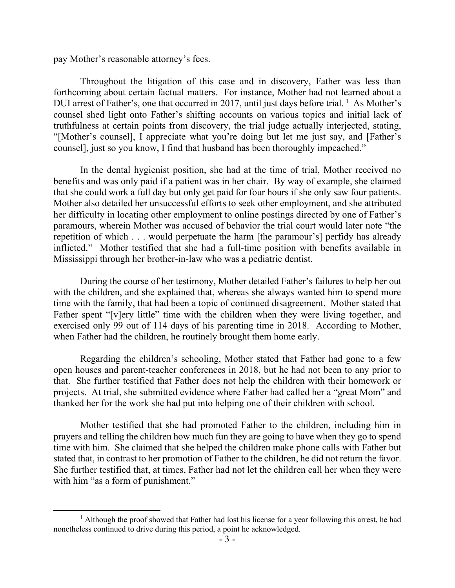pay Mother's reasonable attorney's fees.

Throughout the litigation of this case and in discovery, Father was less than forthcoming about certain factual matters. For instance, Mother had not learned about a DUI arrest of Father's, one that occurred in 2017, until just days before trial. <sup>1</sup> As Mother's counsel shed light onto Father's shifting accounts on various topics and initial lack of truthfulness at certain points from discovery, the trial judge actually interjected, stating, "[Mother's counsel], I appreciate what you're doing but let me just say, and [Father's counsel], just so you know, I find that husband has been thoroughly impeached."

In the dental hygienist position, she had at the time of trial, Mother received no benefits and was only paid if a patient was in her chair. By way of example, she claimed that she could work a full day but only get paid for four hours if she only saw four patients. Mother also detailed her unsuccessful efforts to seek other employment, and she attributed her difficulty in locating other employment to online postings directed by one of Father's paramours, wherein Mother was accused of behavior the trial court would later note "the repetition of which . . . would perpetuate the harm [the paramour's] perfidy has already inflicted." Mother testified that she had a full-time position with benefits available in Mississippi through her brother-in-law who was a pediatric dentist.

During the course of her testimony, Mother detailed Father's failures to help her out with the children, and she explained that, whereas she always wanted him to spend more time with the family, that had been a topic of continued disagreement. Mother stated that Father spent "[v]ery little" time with the children when they were living together, and exercised only 99 out of 114 days of his parenting time in 2018. According to Mother, when Father had the children, he routinely brought them home early.

Regarding the children's schooling, Mother stated that Father had gone to a few open houses and parent-teacher conferences in 2018, but he had not been to any prior to that. She further testified that Father does not help the children with their homework or projects. At trial, she submitted evidence where Father had called her a "great Mom" and thanked her for the work she had put into helping one of their children with school.

Mother testified that she had promoted Father to the children, including him in prayers and telling the children how much fun they are going to have when they go to spend time with him. She claimed that she helped the children make phone calls with Father but stated that, in contrast to her promotion of Father to the children, he did not return the favor. She further testified that, at times, Father had not let the children call her when they were with him "as a form of punishment."

<sup>&</sup>lt;sup>1</sup> Although the proof showed that Father had lost his license for a year following this arrest, he had nonetheless continued to drive during this period, a point he acknowledged.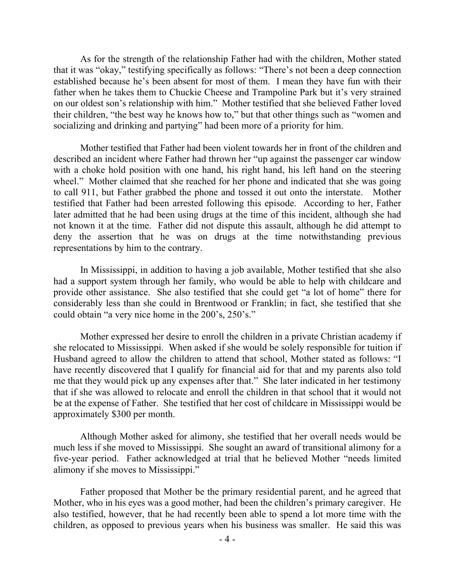As for the strength of the relationship Father had with the children, Mother stated that it was "okay," testifying specifically as follows: "There's not been a deep connection established because he's been absent for most of them. I mean they have fun with their father when he takes them to Chuckie Cheese and Trampoline Park but it's very strained on our oldest son's relationship with him." Mother testified that she believed Father loved their children, "the best way he knows how to," but that other things such as "women and socializing and drinking and partying" had been more of a priority for him.

Mother testified that Father had been violent towards her in front of the children and described an incident where Father had thrown her "up against the passenger car window with a choke hold position with one hand, his right hand, his left hand on the steering wheel." Mother claimed that she reached for her phone and indicated that she was going to call 911, but Father grabbed the phone and tossed it out onto the interstate. Mother testified that Father had been arrested following this episode. According to her, Father later admitted that he had been using drugs at the time of this incident, although she had not known it at the time. Father did not dispute this assault, although he did attempt to deny the assertion that he was on drugs at the time notwithstanding previous representations by him to the contrary.

In Mississippi, in addition to having a job available, Mother testified that she also had a support system through her family, who would be able to help with childcare and provide other assistance. She also testified that she could get "a lot of home" there for considerably less than she could in Brentwood or Franklin; in fact, she testified that she could obtain "a very nice home in the 200's, 250's."

Mother expressed her desire to enroll the children in a private Christian academy if she relocated to Mississippi. When asked if she would be solely responsible for tuition if Husband agreed to allow the children to attend that school, Mother stated as follows: "I have recently discovered that I qualify for financial aid for that and my parents also told me that they would pick up any expenses after that." She later indicated in her testimony that if she was allowed to relocate and enroll the children in that school that it would not be at the expense of Father. She testified that her cost of childcare in Mississippi would be approximately \$300 per month.

Although Mother asked for alimony, she testified that her overall needs would be much less if she moved to Mississippi. She sought an award of transitional alimony for a five-year period. Father acknowledged at trial that he believed Mother "needs limited alimony if she moves to Mississippi."

Father proposed that Mother be the primary residential parent, and he agreed that Mother, who in his eyes was a good mother, had been the children's primary caregiver. He also testified, however, that he had recently been able to spend a lot more time with the children, as opposed to previous years when his business was smaller. He said this was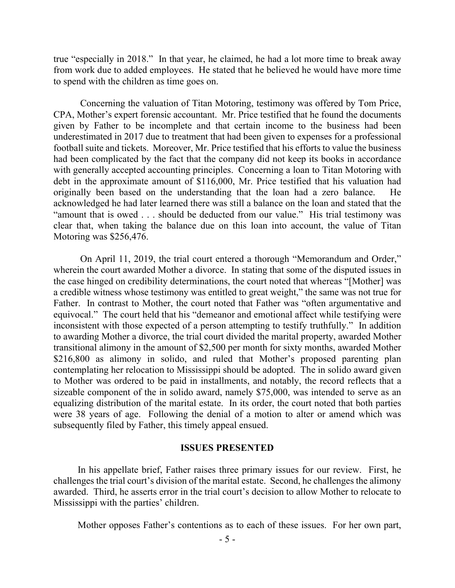true "especially in 2018." In that year, he claimed, he had a lot more time to break away from work due to added employees. He stated that he believed he would have more time to spend with the children as time goes on.

Concerning the valuation of Titan Motoring, testimony was offered by Tom Price, CPA, Mother's expert forensic accountant. Mr. Price testified that he found the documents given by Father to be incomplete and that certain income to the business had been underestimated in 2017 due to treatment that had been given to expenses for a professional football suite and tickets. Moreover, Mr. Price testified that his efforts to value the business had been complicated by the fact that the company did not keep its books in accordance with generally accepted accounting principles. Concerning a loan to Titan Motoring with debt in the approximate amount of \$116,000, Mr. Price testified that his valuation had originally been based on the understanding that the loan had a zero balance. He acknowledged he had later learned there was still a balance on the loan and stated that the "amount that is owed . . . should be deducted from our value." His trial testimony was clear that, when taking the balance due on this loan into account, the value of Titan Motoring was \$256,476.

On April 11, 2019, the trial court entered a thorough "Memorandum and Order," wherein the court awarded Mother a divorce. In stating that some of the disputed issues in the case hinged on credibility determinations, the court noted that whereas "[Mother] was a credible witness whose testimony was entitled to great weight," the same was not true for Father. In contrast to Mother, the court noted that Father was "often argumentative and equivocal." The court held that his "demeanor and emotional affect while testifying were inconsistent with those expected of a person attempting to testify truthfully." In addition to awarding Mother a divorce, the trial court divided the marital property, awarded Mother transitional alimony in the amount of \$2,500 per month for sixty months, awarded Mother \$216,800 as alimony in solido, and ruled that Mother's proposed parenting plan contemplating her relocation to Mississippi should be adopted. The in solido award given to Mother was ordered to be paid in installments, and notably, the record reflects that a sizeable component of the in solido award, namely \$75,000, was intended to serve as an equalizing distribution of the marital estate. In its order, the court noted that both parties were 38 years of age. Following the denial of a motion to alter or amend which was subsequently filed by Father, this timely appeal ensued.

#### **ISSUES PRESENTED**

 In his appellate brief, Father raises three primary issues for our review. First, he challenges the trial court's division of the marital estate. Second, he challenges the alimony awarded. Third, he asserts error in the trial court's decision to allow Mother to relocate to Mississippi with the parties' children.

Mother opposes Father's contentions as to each of these issues. For her own part,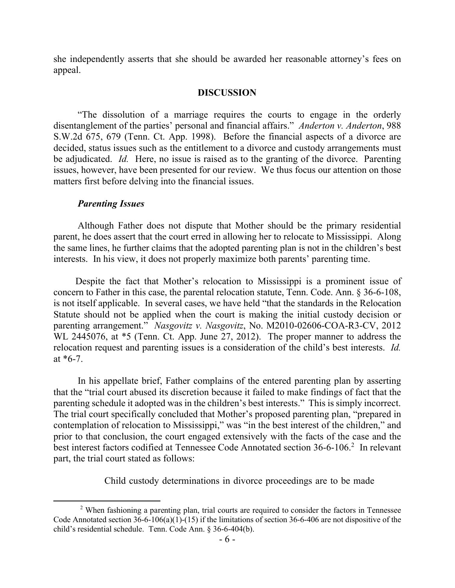she independently asserts that she should be awarded her reasonable attorney's fees on appeal.

### **DISCUSSION**

 "The dissolution of a marriage requires the courts to engage in the orderly disentanglement of the parties' personal and financial affairs." *Anderton v. Anderton*, 988 S.W.2d 675, 679 (Tenn. Ct. App. 1998). Before the financial aspects of a divorce are decided, status issues such as the entitlement to a divorce and custody arrangements must be adjudicated. *Id.* Here, no issue is raised as to the granting of the divorce. Parenting issues, however, have been presented for our review. We thus focus our attention on those matters first before delving into the financial issues.

### *Parenting Issues*

Although Father does not dispute that Mother should be the primary residential parent, he does assert that the court erred in allowing her to relocate to Mississippi. Along the same lines, he further claims that the adopted parenting plan is not in the children's best interests. In his view, it does not properly maximize both parents' parenting time.

 Despite the fact that Mother's relocation to Mississippi is a prominent issue of concern to Father in this case, the parental relocation statute, Tenn. Code. Ann. § 36-6-108, is not itself applicable. In several cases, we have held "that the standards in the Relocation Statute should not be applied when the court is making the initial custody decision or parenting arrangement." *Nasgovitz v. Nasgovitz*, No. M2010-02606-COA-R3-CV, 2012 WL 2445076, at \*5 (Tenn. Ct. App. June 27, 2012). The proper manner to address the relocation request and parenting issues is a consideration of the child's best interests. *Id.* at  $*6-7$ .

 In his appellate brief, Father complains of the entered parenting plan by asserting that the "trial court abused its discretion because it failed to make findings of fact that the parenting schedule it adopted was in the children's best interests." This is simply incorrect. The trial court specifically concluded that Mother's proposed parenting plan, "prepared in contemplation of relocation to Mississippi," was "in the best interest of the children," and prior to that conclusion, the court engaged extensively with the facts of the case and the best interest factors codified at Tennessee Code Annotated section 36-6-106.<sup>2</sup> In relevant part, the trial court stated as follows:

Child custody determinations in divorce proceedings are to be made

<sup>&</sup>lt;sup>2</sup> When fashioning a parenting plan, trial courts are required to consider the factors in Tennessee Code Annotated section 36-6-106(a)(1)-(15) if the limitations of section 36-6-406 are not dispositive of the child's residential schedule. Tenn. Code Ann. § 36-6-404(b).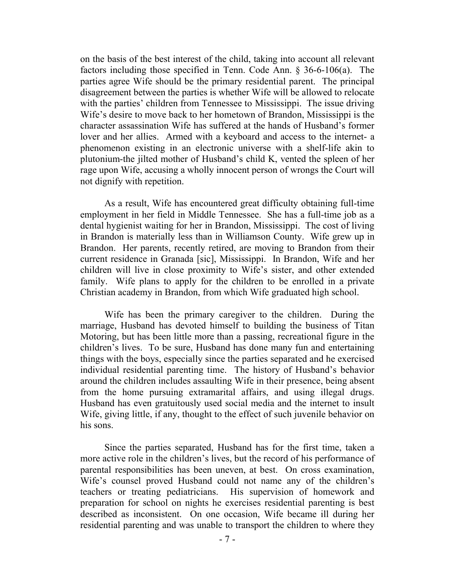on the basis of the best interest of the child, taking into account all relevant factors including those specified in Tenn. Code Ann. § 36-6-106(a). The parties agree Wife should be the primary residential parent. The principal disagreement between the parties is whether Wife will be allowed to relocate with the parties' children from Tennessee to Mississippi. The issue driving Wife's desire to move back to her hometown of Brandon, Mississippi is the character assassination Wife has suffered at the hands of Husband's former lover and her allies. Armed with a keyboard and access to the internet- a phenomenon existing in an electronic universe with a shelf-life akin to plutonium-the jilted mother of Husband's child K, vented the spleen of her rage upon Wife, accusing a wholly innocent person of wrongs the Court will not dignify with repetition.

 As a result, Wife has encountered great difficulty obtaining full-time employment in her field in Middle Tennessee. She has a full-time job as a dental hygienist waiting for her in Brandon, Mississippi. The cost of living in Brandon is materially less than in Williamson County. Wife grew up in Brandon. Her parents, recently retired, are moving to Brandon from their current residence in Granada [sic], Mississippi. In Brandon, Wife and her children will live in close proximity to Wife's sister, and other extended family. Wife plans to apply for the children to be enrolled in a private Christian academy in Brandon, from which Wife graduated high school.

 Wife has been the primary caregiver to the children. During the marriage, Husband has devoted himself to building the business of Titan Motoring, but has been little more than a passing, recreational figure in the children's lives. To be sure, Husband has done many fun and entertaining things with the boys, especially since the parties separated and he exercised individual residential parenting time. The history of Husband's behavior around the children includes assaulting Wife in their presence, being absent from the home pursuing extramarital affairs, and using illegal drugs. Husband has even gratuitously used social media and the internet to insult Wife, giving little, if any, thought to the effect of such juvenile behavior on his sons.

 Since the parties separated, Husband has for the first time, taken a more active role in the children's lives, but the record of his performance of parental responsibilities has been uneven, at best. On cross examination, Wife's counsel proved Husband could not name any of the children's teachers or treating pediatricians. His supervision of homework and preparation for school on nights he exercises residential parenting is best described as inconsistent. On one occasion, Wife became ill during her residential parenting and was unable to transport the children to where they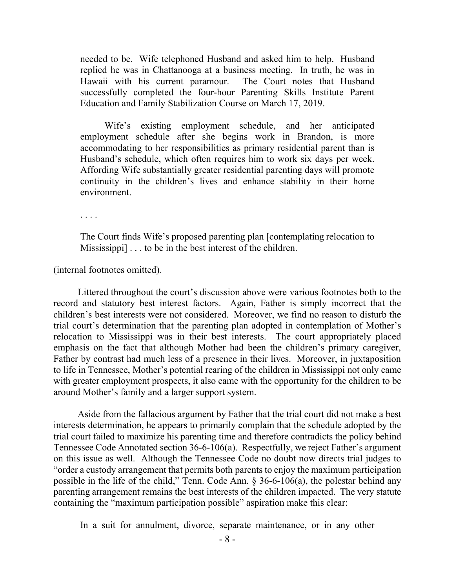needed to be. Wife telephoned Husband and asked him to help. Husband replied he was in Chattanooga at a business meeting. In truth, he was in Hawaii with his current paramour. The Court notes that Husband successfully completed the four-hour Parenting Skills Institute Parent Education and Family Stabilization Course on March 17, 2019.

 Wife's existing employment schedule, and her anticipated employment schedule after she begins work in Brandon, is more accommodating to her responsibilities as primary residential parent than is Husband's schedule, which often requires him to work six days per week. Affording Wife substantially greater residential parenting days will promote continuity in the children's lives and enhance stability in their home environment.

. . . .

The Court finds Wife's proposed parenting plan [contemplating relocation to Mississippi] . . . to be in the best interest of the children.

(internal footnotes omitted).

 Littered throughout the court's discussion above were various footnotes both to the record and statutory best interest factors. Again, Father is simply incorrect that the children's best interests were not considered. Moreover, we find no reason to disturb the trial court's determination that the parenting plan adopted in contemplation of Mother's relocation to Mississippi was in their best interests. The court appropriately placed emphasis on the fact that although Mother had been the children's primary caregiver, Father by contrast had much less of a presence in their lives. Moreover, in juxtaposition to life in Tennessee, Mother's potential rearing of the children in Mississippi not only came with greater employment prospects, it also came with the opportunity for the children to be around Mother's family and a larger support system.

 Aside from the fallacious argument by Father that the trial court did not make a best interests determination, he appears to primarily complain that the schedule adopted by the trial court failed to maximize his parenting time and therefore contradicts the policy behind Tennessee Code Annotated section 36-6-106(a). Respectfully, we reject Father's argument on this issue as well. Although the Tennessee Code no doubt now directs trial judges to "order a custody arrangement that permits both parents to enjoy the maximum participation possible in the life of the child," Tenn. Code Ann.  $\S 36-6-106(a)$ , the polestar behind any parenting arrangement remains the best interests of the children impacted. The very statute containing the "maximum participation possible" aspiration make this clear:

In a suit for annulment, divorce, separate maintenance, or in any other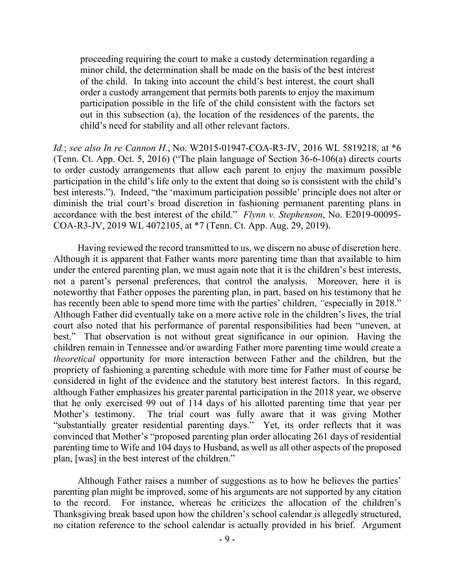proceeding requiring the court to make a custody determination regarding a minor child, the determination shall be made on the basis of the best interest of the child. In taking into account the child's best interest, the court shall order a custody arrangement that permits both parents to enjoy the maximum participation possible in the life of the child consistent with the factors set out in this subsection (a), the location of the residences of the parents, the child's need for stability and all other relevant factors.

*Id.*; *see also In re Cannon H.*, No. W2015-01947-COA-R3-JV, 2016 WL 5819218, at \*6 (Tenn. Ct. App. Oct. 5, 2016) ("The plain language of Section 36-6-106(a) directs courts to order custody arrangements that allow each parent to enjoy the maximum possible participation in the child's life only to the extent that doing so is consistent with the child's best interests."). Indeed, "the 'maximum participation possible' principle does not alter or diminish the trial court's broad discretion in fashioning permanent parenting plans in accordance with the best interest of the child." *Flynn v. Stephenson*, No. E2019-00095- COA-R3-JV, 2019 WL 4072105, at \*7 (Tenn. Ct. App. Aug. 29, 2019).

Having reviewed the record transmitted to us, we discern no abuse of discretion here. Although it is apparent that Father wants more parenting time than that available to him under the entered parenting plan, we must again note that it is the children's best interests, not a parent's personal preferences, that control the analysis. Moreover, here it is noteworthy that Father opposes the parenting plan, in part, based on his testimony that he has recently been able to spend more time with the parties' children, *"*especially in 2018." Although Father did eventually take on a more active role in the children's lives, the trial court also noted that his performance of parental responsibilities had been "uneven, at best." That observation is not without great significance in our opinion. Having the children remain in Tennessee and/or awarding Father more parenting time would create a *theoretical* opportunity for more interaction between Father and the children, but the propriety of fashioning a parenting schedule with more time for Father must of course be considered in light of the evidence and the statutory best interest factors. In this regard, although Father emphasizes his greater parental participation in the 2018 year, we observe that he only exercised 99 out of 114 days of his allotted parenting time that year per Mother's testimony. The trial court was fully aware that it was giving Mother "substantially greater residential parenting days." Yet, its order reflects that it was convinced that Mother's "proposed parenting plan order allocating 261 days of residential parenting time to Wife and 104 days to Husband, as well as all other aspects of the proposed plan, [was] in the best interest of the children."

 Although Father raises a number of suggestions as to how he believes the parties' parenting plan might be improved, some of his arguments are not supported by any citation to the record. For instance, whereas he criticizes the allocation of the children's Thanksgiving break based upon how the children's school calendar is allegedly structured, no citation reference to the school calendar is actually provided in his brief. Argument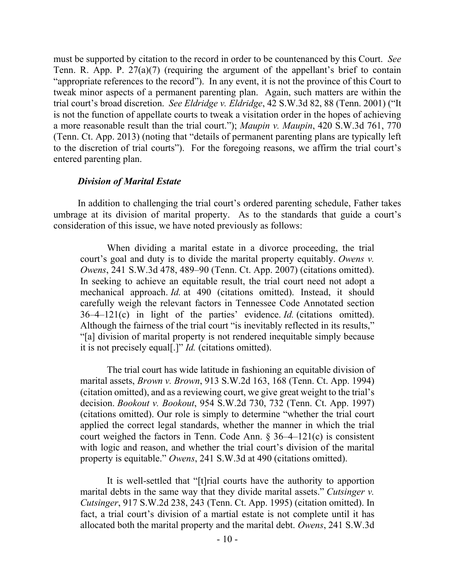must be supported by citation to the record in order to be countenanced by this Court. *See* Tenn. R. App. P. 27(a)(7) (requiring the argument of the appellant's brief to contain "appropriate references to the record"). In any event, it is not the province of this Court to tweak minor aspects of a permanent parenting plan. Again, such matters are within the trial court's broad discretion. *See Eldridge v. Eldridge*, 42 S.W.3d 82, 88 (Tenn. 2001) ("It is not the function of appellate courts to tweak a visitation order in the hopes of achieving a more reasonable result than the trial court."); *Maupin v. Maupin*, 420 S.W.3d 761, 770 (Tenn. Ct. App. 2013) (noting that "details of permanent parenting plans are typically left to the discretion of trial courts"). For the foregoing reasons, we affirm the trial court's entered parenting plan.

### *Division of Marital Estate*

In addition to challenging the trial court's ordered parenting schedule, Father takes umbrage at its division of marital property. As to the standards that guide a court's consideration of this issue, we have noted previously as follows:

When dividing a marital estate in a divorce proceeding, the trial court's goal and duty is to divide the marital property equitably. *Owens v. Owens*, 241 S.W.3d 478, 489–90 (Tenn. Ct. App. 2007) (citations omitted). In seeking to achieve an equitable result, the trial court need not adopt a mechanical approach. *Id.* at 490 (citations omitted). Instead, it should carefully weigh the relevant factors in Tennessee Code Annotated section 36–4–121(c) in light of the parties' evidence. *Id.* (citations omitted). Although the fairness of the trial court "is inevitably reflected in its results," "[a] division of marital property is not rendered inequitable simply because it is not precisely equal[.]" *Id.* (citations omitted).

The trial court has wide latitude in fashioning an equitable division of marital assets, *Brown v. Brown*, 913 S.W.2d 163, 168 (Tenn. Ct. App. 1994) (citation omitted), and as a reviewing court, we give great weight to the trial's decision. *Bookout v. Bookout*, 954 S.W.2d 730, 732 (Tenn. Ct. App. 1997) (citations omitted). Our role is simply to determine "whether the trial court applied the correct legal standards, whether the manner in which the trial court weighed the factors in Tenn. Code Ann.  $\S 36-4-121(c)$  is consistent with logic and reason, and whether the trial court's division of the marital property is equitable." *Owens*, 241 S.W.3d at 490 (citations omitted).

It is well-settled that "[t]rial courts have the authority to apportion marital debts in the same way that they divide marital assets." *Cutsinger v. Cutsinger*, 917 S.W.2d 238, 243 (Tenn. Ct. App. 1995) (citation omitted). In fact, a trial court's division of a martial estate is not complete until it has allocated both the marital property and the marital debt. *Owens*, 241 S.W.3d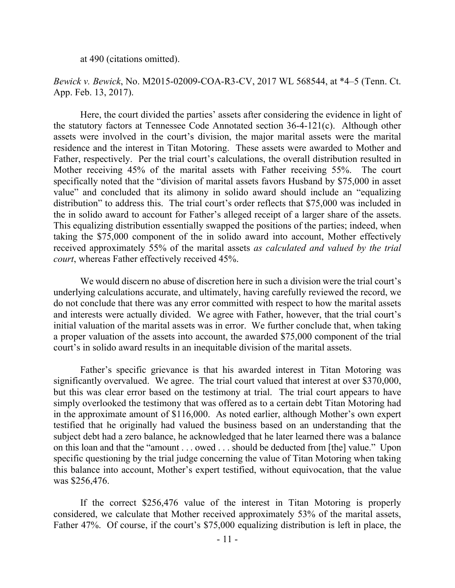at 490 (citations omitted).

*Bewick v. Bewick*, No. M2015-02009-COA-R3-CV, 2017 WL 568544, at \*4–5 (Tenn. Ct. App. Feb. 13, 2017).

Here, the court divided the parties' assets after considering the evidence in light of the statutory factors at Tennessee Code Annotated section 36-4-121(c). Although other assets were involved in the court's division, the major marital assets were the marital residence and the interest in Titan Motoring. These assets were awarded to Mother and Father, respectively. Per the trial court's calculations, the overall distribution resulted in Mother receiving 45% of the marital assets with Father receiving 55%. The court specifically noted that the "division of marital assets favors Husband by \$75,000 in asset value" and concluded that its alimony in solido award should include an "equalizing distribution" to address this. The trial court's order reflects that \$75,000 was included in the in solido award to account for Father's alleged receipt of a larger share of the assets. This equalizing distribution essentially swapped the positions of the parties; indeed, when taking the \$75,000 component of the in solido award into account, Mother effectively received approximately 55% of the marital assets *as calculated and valued by the trial court*, whereas Father effectively received 45%.

We would discern no abuse of discretion here in such a division were the trial court's underlying calculations accurate, and ultimately, having carefully reviewed the record, we do not conclude that there was any error committed with respect to how the marital assets and interests were actually divided. We agree with Father, however, that the trial court's initial valuation of the marital assets was in error. We further conclude that, when taking a proper valuation of the assets into account, the awarded \$75,000 component of the trial court's in solido award results in an inequitable division of the marital assets.

Father's specific grievance is that his awarded interest in Titan Motoring was significantly overvalued. We agree. The trial court valued that interest at over \$370,000, but this was clear error based on the testimony at trial. The trial court appears to have simply overlooked the testimony that was offered as to a certain debt Titan Motoring had in the approximate amount of \$116,000. As noted earlier, although Mother's own expert testified that he originally had valued the business based on an understanding that the subject debt had a zero balance, he acknowledged that he later learned there was a balance on this loan and that the "amount . . . owed . . . should be deducted from [the] value." Upon specific questioning by the trial judge concerning the value of Titan Motoring when taking this balance into account, Mother's expert testified, without equivocation, that the value was \$256,476.

If the correct \$256,476 value of the interest in Titan Motoring is properly considered, we calculate that Mother received approximately 53% of the marital assets, Father 47%. Of course, if the court's \$75,000 equalizing distribution is left in place, the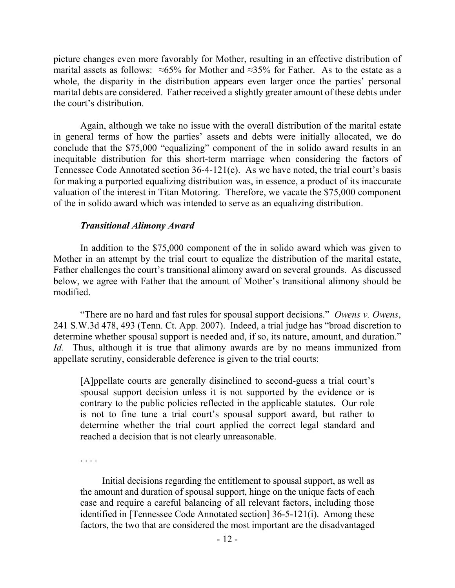picture changes even more favorably for Mother, resulting in an effective distribution of marital assets as follows:  $\approx 65\%$  for Mother and  $\approx 35\%$  for Father. As to the estate as a whole, the disparity in the distribution appears even larger once the parties' personal marital debts are considered. Father received a slightly greater amount of these debts under the court's distribution.

Again, although we take no issue with the overall distribution of the marital estate in general terms of how the parties' assets and debts were initially allocated, we do conclude that the \$75,000 "equalizing" component of the in solido award results in an inequitable distribution for this short-term marriage when considering the factors of Tennessee Code Annotated section 36-4-121(c). As we have noted, the trial court's basis for making a purported equalizing distribution was, in essence, a product of its inaccurate valuation of the interest in Titan Motoring. Therefore, we vacate the \$75,000 component of the in solido award which was intended to serve as an equalizing distribution.

# *Transitional Alimony Award*

In addition to the \$75,000 component of the in solido award which was given to Mother in an attempt by the trial court to equalize the distribution of the marital estate, Father challenges the court's transitional alimony award on several grounds. As discussed below, we agree with Father that the amount of Mother's transitional alimony should be modified.

"There are no hard and fast rules for spousal support decisions." *Owens v. Owens*, 241 S.W.3d 478, 493 (Tenn. Ct. App. 2007). Indeed, a trial judge has "broad discretion to determine whether spousal support is needed and, if so, its nature, amount, and duration." *Id.* Thus, although it is true that alimony awards are by no means immunized from appellate scrutiny, considerable deference is given to the trial courts:

[A]ppellate courts are generally disinclined to second-guess a trial court's spousal support decision unless it is not supported by the evidence or is contrary to the public policies reflected in the applicable statutes. Our role is not to fine tune a trial court's spousal support award, but rather to determine whether the trial court applied the correct legal standard and reached a decision that is not clearly unreasonable.

. . . .

 Initial decisions regarding the entitlement to spousal support, as well as the amount and duration of spousal support, hinge on the unique facts of each case and require a careful balancing of all relevant factors, including those identified in [Tennessee Code Annotated section] 36-5-121(i). Among these factors, the two that are considered the most important are the disadvantaged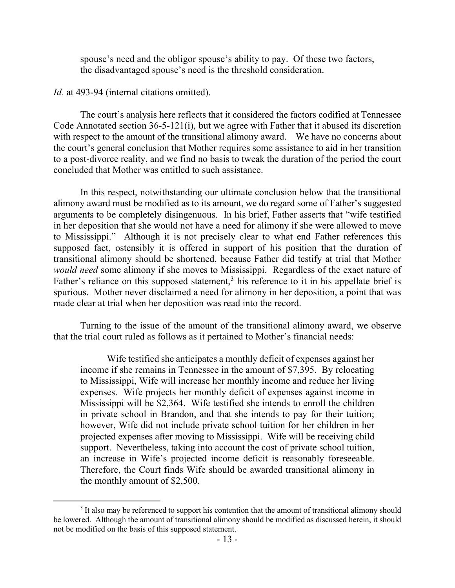spouse's need and the obligor spouse's ability to pay. Of these two factors, the disadvantaged spouse's need is the threshold consideration.

#### *Id.* at 493-94 (internal citations omitted).

The court's analysis here reflects that it considered the factors codified at Tennessee Code Annotated section 36-5-121(i), but we agree with Father that it abused its discretion with respect to the amount of the transitional alimony award. We have no concerns about the court's general conclusion that Mother requires some assistance to aid in her transition to a post-divorce reality, and we find no basis to tweak the duration of the period the court concluded that Mother was entitled to such assistance.

In this respect, notwithstanding our ultimate conclusion below that the transitional alimony award must be modified as to its amount, we do regard some of Father's suggested arguments to be completely disingenuous. In his brief, Father asserts that "wife testified in her deposition that she would not have a need for alimony if she were allowed to move to Mississippi." Although it is not precisely clear to what end Father references this supposed fact, ostensibly it is offered in support of his position that the duration of transitional alimony should be shortened, because Father did testify at trial that Mother *would need* some alimony if she moves to Mississippi. Regardless of the exact nature of Father's reliance on this supposed statement,<sup>3</sup> his reference to it in his appellate brief is spurious. Mother never disclaimed a need for alimony in her deposition, a point that was made clear at trial when her deposition was read into the record.

Turning to the issue of the amount of the transitional alimony award, we observe that the trial court ruled as follows as it pertained to Mother's financial needs:

Wife testified she anticipates a monthly deficit of expenses against her income if she remains in Tennessee in the amount of \$7,395. By relocating to Mississippi, Wife will increase her monthly income and reduce her living expenses. Wife projects her monthly deficit of expenses against income in Mississippi will be \$2,364. Wife testified she intends to enroll the children in private school in Brandon, and that she intends to pay for their tuition; however, Wife did not include private school tuition for her children in her projected expenses after moving to Mississippi. Wife will be receiving child support. Nevertheless, taking into account the cost of private school tuition, an increase in Wife's projected income deficit is reasonably foreseeable. Therefore, the Court finds Wife should be awarded transitional alimony in the monthly amount of \$2,500.

 $3$  It also may be referenced to support his contention that the amount of transitional alimony should be lowered. Although the amount of transitional alimony should be modified as discussed herein, it should not be modified on the basis of this supposed statement.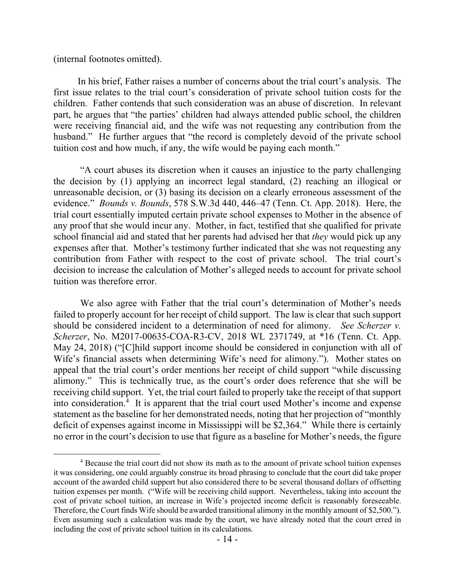(internal footnotes omitted).

 $\overline{a}$ 

 In his brief, Father raises a number of concerns about the trial court's analysis. The first issue relates to the trial court's consideration of private school tuition costs for the children. Father contends that such consideration was an abuse of discretion. In relevant part, he argues that "the parties' children had always attended public school, the children were receiving financial aid, and the wife was not requesting any contribution from the husband." He further argues that "the record is completely devoid of the private school tuition cost and how much, if any, the wife would be paying each month."

"A court abuses its discretion when it causes an injustice to the party challenging the decision by (1) applying an incorrect legal standard, (2) reaching an illogical or unreasonable decision, or (3) basing its decision on a clearly erroneous assessment of the evidence." *Bounds v. Bounds*, 578 S.W.3d 440, 446–47 (Tenn. Ct. App. 2018). Here, the trial court essentially imputed certain private school expenses to Mother in the absence of any proof that she would incur any. Mother, in fact, testified that she qualified for private school financial aid and stated that her parents had advised her that *they* would pick up any expenses after that. Mother's testimony further indicated that she was not requesting any contribution from Father with respect to the cost of private school. The trial court's decision to increase the calculation of Mother's alleged needs to account for private school tuition was therefore error.

We also agree with Father that the trial court's determination of Mother's needs failed to properly account for her receipt of child support. The law is clear that such support should be considered incident to a determination of need for alimony. *See Scherzer v. Scherzer*, No. M2017-00635-COA-R3-CV, 2018 WL 2371749, at \*16 (Tenn. Ct. App. May 24, 2018) ("[C]hild support income should be considered in conjunction with all of Wife's financial assets when determining Wife's need for alimony."). Mother states on appeal that the trial court's order mentions her receipt of child support "while discussing alimony." This is technically true, as the court's order does reference that she will be receiving child support. Yet, the trial court failed to properly take the receipt of that support into consideration.<sup>4</sup> It is apparent that the trial court used Mother's income and expense statement as the baseline for her demonstrated needs, noting that her projection of "monthly deficit of expenses against income in Mississippi will be \$2,364." While there is certainly no error in the court's decision to use that figure as a baseline for Mother's needs, the figure

<sup>4</sup> Because the trial court did not show its math as to the amount of private school tuition expenses it was considering, one could arguably construe its broad phrasing to conclude that the court did take proper account of the awarded child support but also considered there to be several thousand dollars of offsetting tuition expenses per month. ("Wife will be receiving child support. Nevertheless, taking into account the cost of private school tuition, an increase in Wife's projected income deficit is reasonably foreseeable. Therefore, the Court finds Wife should be awarded transitional alimony in the monthly amount of \$2,500."). Even assuming such a calculation was made by the court, we have already noted that the court erred in including the cost of private school tuition in its calculations.